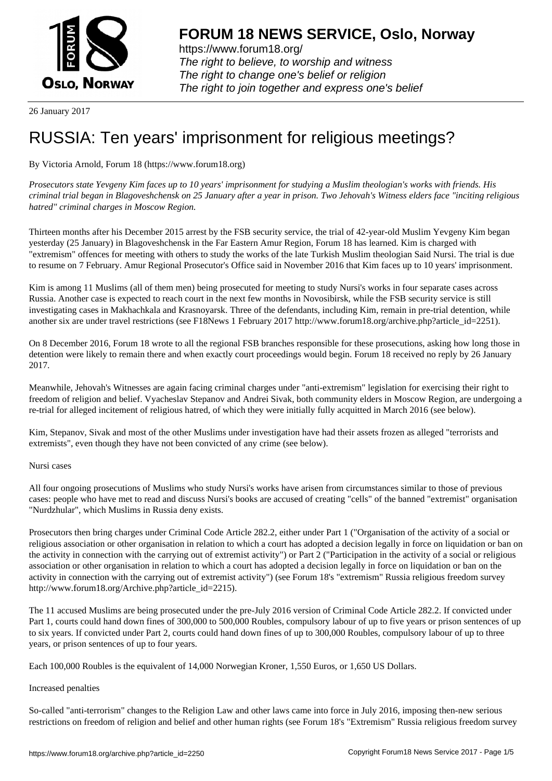

https://www.forum18.org/ The right to believe, to worship and witness The right to change one's belief or religion [The right to join together a](https://www.forum18.org/)nd express one's belief

26 January 2017

# [RUSSIA: Ten y](https://www.forum18.org)ears' imprisonment for religious meetings?

# By Victoria Arnold, Forum 18 (https://www.forum18.org)

*Prosecutors state Yevgeny Kim faces up to 10 years' imprisonment for studying a Muslim theologian's works with friends. His criminal trial began in Blagoveshchensk on 25 January after a year in prison. Two Jehovah's Witness elders face "inciting religious hatred" criminal charges in Moscow Region.*

Thirteen months after his December 2015 arrest by the FSB security service, the trial of 42-year-old Muslim Yevgeny Kim began yesterday (25 January) in Blagoveshchensk in the Far Eastern Amur Region, Forum 18 has learned. Kim is charged with "extremism" offences for meeting with others to study the works of the late Turkish Muslim theologian Said Nursi. The trial is due to resume on 7 February. Amur Regional Prosecutor's Office said in November 2016 that Kim faces up to 10 years' imprisonment.

Kim is among 11 Muslims (all of them men) being prosecuted for meeting to study Nursi's works in four separate cases across Russia. Another case is expected to reach court in the next few months in Novosibirsk, while the FSB security service is still investigating cases in Makhachkala and Krasnoyarsk. Three of the defendants, including Kim, remain in pre-trial detention, while another six are under travel restrictions (see F18News 1 February 2017 http://www.forum18.org/archive.php?article\_id=2251).

On 8 December 2016, Forum 18 wrote to all the regional FSB branches responsible for these prosecutions, asking how long those in detention were likely to remain there and when exactly court proceedings would begin. Forum 18 received no reply by 26 January 2017.

Meanwhile, Jehovah's Witnesses are again facing criminal charges under "anti-extremism" legislation for exercising their right to freedom of religion and belief. Vyacheslav Stepanov and Andrei Sivak, both community elders in Moscow Region, are undergoing a re-trial for alleged incitement of religious hatred, of which they were initially fully acquitted in March 2016 (see below).

Kim, Stepanov, Sivak and most of the other Muslims under investigation have had their assets frozen as alleged "terrorists and extremists", even though they have not been convicted of any crime (see below).

Nursi cases

All four ongoing prosecutions of Muslims who study Nursi's works have arisen from circumstances similar to those of previous cases: people who have met to read and discuss Nursi's books are accused of creating "cells" of the banned "extremist" organisation "Nurdzhular", which Muslims in Russia deny exists.

Prosecutors then bring charges under Criminal Code Article 282.2, either under Part 1 ("Organisation of the activity of a social or religious association or other organisation in relation to which a court has adopted a decision legally in force on liquidation or ban on the activity in connection with the carrying out of extremist activity") or Part 2 ("Participation in the activity of a social or religious association or other organisation in relation to which a court has adopted a decision legally in force on liquidation or ban on the activity in connection with the carrying out of extremist activity") (see Forum 18's "extremism" Russia religious freedom survey http://www.forum18.org/Archive.php?article\_id=2215).

The 11 accused Muslims are being prosecuted under the pre-July 2016 version of Criminal Code Article 282.2. If convicted under Part 1, courts could hand down fines of 300,000 to 500,000 Roubles, compulsory labour of up to five years or prison sentences of up to six years. If convicted under Part 2, courts could hand down fines of up to 300,000 Roubles, compulsory labour of up to three years, or prison sentences of up to four years.

Each 100,000 Roubles is the equivalent of 14,000 Norwegian Kroner, 1,550 Euros, or 1,650 US Dollars.

### Increased penalties

So-called "anti-terrorism" changes to the Religion Law and other laws came into force in July 2016, imposing then-new serious restrictions on freedom of religion and belief and other human rights (see Forum 18's "Extremism" Russia religious freedom survey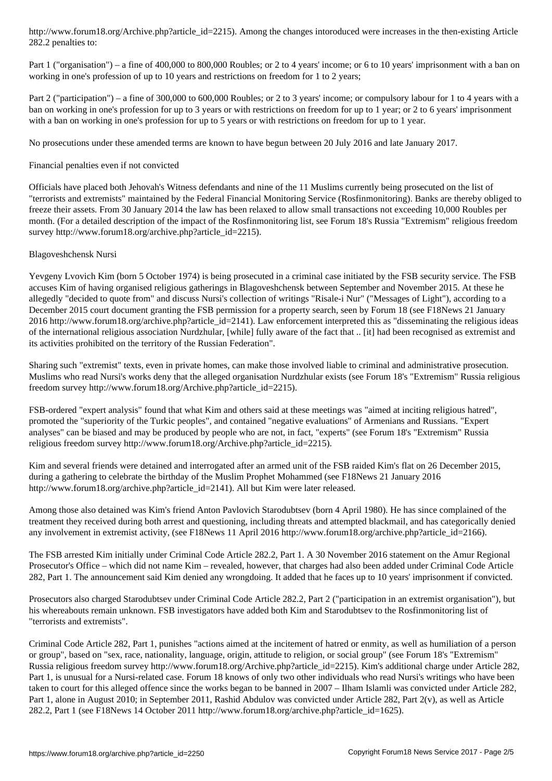Part 1 ("organisation") – a fine of 400,000 to 800,000 Roubles; or 2 to 4 years' income; or 6 to 10 years' imprisonment with a ban on working in one's profession of up to 10 years and restrictions on freedom for 1 to 2 years;

Part 2 ("participation") – a fine of 300,000 to 600,000 Roubles; or 2 to 3 years' income; or compulsory labour for 1 to 4 years with a ban on working in one's profession for up to 3 years or with restrictions on freedom for up to 1 year; or 2 to 6 years' imprisonment with a ban on working in one's profession for up to 5 years or with restrictions on freedom for up to 1 year.

No prosecutions under these amended terms are known to have begun between 20 July 2016 and late January 2017.

#### Financial penalties even if not convicted

Officials have placed both Jehovah's Witness defendants and nine of the 11 Muslims currently being prosecuted on the list of "terrorists and extremists" maintained by the Federal Financial Monitoring Service (Rosfinmonitoring). Banks are thereby obliged to freeze their assets. From 30 January 2014 the law has been relaxed to allow small transactions not exceeding 10,000 Roubles per month. (For a detailed description of the impact of the Rosfinmonitoring list, see Forum 18's Russia "Extremism" religious freedom survey http://www.forum18.org/archive.php?article\_id=2215).

#### Blagoveshchensk Nursi

 $282.2$  penalties to:

Yevgeny Lvovich Kim (born 5 October 1974) is being prosecuted in a criminal case initiated by the FSB security service. The FSB accuses Kim of having organised religious gatherings in Blagoveshchensk between September and November 2015. At these he allegedly "decided to quote from" and discuss Nursi's collection of writings "Risale-i Nur" ("Messages of Light"), according to a December 2015 court document granting the FSB permission for a property search, seen by Forum 18 (see F18News 21 January 2016 http://www.forum18.org/archive.php?article\_id=2141). Law enforcement interpreted this as "disseminating the religious ideas of the international religious association Nurdzhular, [while] fully aware of the fact that .. [it] had been recognised as extremist and its activities prohibited on the territory of the Russian Federation".

Sharing such "extremist" texts, even in private homes, can make those involved liable to criminal and administrative prosecution. Muslims who read Nursi's works deny that the alleged organisation Nurdzhular exists (see Forum 18's "Extremism" Russia religious freedom survey http://www.forum18.org/Archive.php?article\_id=2215).

FSB-ordered "expert analysis" found that what Kim and others said at these meetings was "aimed at inciting religious hatred", promoted the "superiority of the Turkic peoples", and contained "negative evaluations" of Armenians and Russians. "Expert analyses" can be biased and may be produced by people who are not, in fact, "experts" (see Forum 18's "Extremism" Russia religious freedom survey http://www.forum18.org/Archive.php?article\_id=2215).

Kim and several friends were detained and interrogated after an armed unit of the FSB raided Kim's flat on 26 December 2015, during a gathering to celebrate the birthday of the Muslim Prophet Mohammed (see F18News 21 January 2016 http://www.forum18.org/archive.php?article\_id=2141). All but Kim were later released.

Among those also detained was Kim's friend Anton Pavlovich Starodubtsev (born 4 April 1980). He has since complained of the treatment they received during both arrest and questioning, including threats and attempted blackmail, and has categorically denied any involvement in extremist activity, (see F18News 11 April 2016 http://www.forum18.org/archive.php?article\_id=2166).

The FSB arrested Kim initially under Criminal Code Article 282.2, Part 1. A 30 November 2016 statement on the Amur Regional Prosecutor's Office – which did not name Kim – revealed, however, that charges had also been added under Criminal Code Article 282, Part 1. The announcement said Kim denied any wrongdoing. It added that he faces up to 10 years' imprisonment if convicted.

Prosecutors also charged Starodubtsev under Criminal Code Article 282.2, Part 2 ("participation in an extremist organisation"), but his whereabouts remain unknown. FSB investigators have added both Kim and Starodubtsev to the Rosfinmonitoring list of "terrorists and extremists".

Criminal Code Article 282, Part 1, punishes "actions aimed at the incitement of hatred or enmity, as well as humiliation of a person or group", based on "sex, race, nationality, language, origin, attitude to religion, or social group" (see Forum 18's "Extremism" Russia religious freedom survey http://www.forum18.org/Archive.php?article\_id=2215). Kim's additional charge under Article 282, Part 1, is unusual for a Nursi-related case. Forum 18 knows of only two other individuals who read Nursi's writings who have been taken to court for this alleged offence since the works began to be banned in 2007 – Ilham Islamli was convicted under Article 282, Part 1, alone in August 2010; in September 2011, Rashid Abdulov was convicted under Article 282, Part 2(v), as well as Article 282.2, Part 1 (see F18News 14 October 2011 http://www.forum18.org/archive.php?article\_id=1625).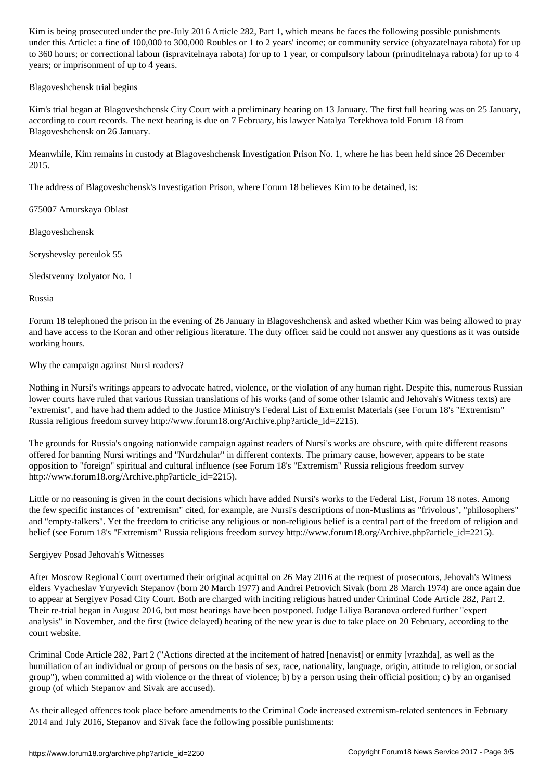under this Article: a fine of 100,000 to 300,000 roubles or community service (observice (observice (observice to 360 hours; or correctional labour (ispravitelnaya rabota) for up to 1 year, or compulsory labour (prinuditelnaya rabota) for up to 4 years; or imprisonment of up to 4 years.

Blagoveshchensk trial begins

Kim's trial began at Blagoveshchensk City Court with a preliminary hearing on 13 January. The first full hearing was on 25 January, according to court records. The next hearing is due on 7 February, his lawyer Natalya Terekhova told Forum 18 from Blagoveshchensk on 26 January.

Meanwhile, Kim remains in custody at Blagoveshchensk Investigation Prison No. 1, where he has been held since 26 December 2015.

The address of Blagoveshchensk's Investigation Prison, where Forum 18 believes Kim to be detained, is:

675007 Amurskaya Oblast

Blagoveshchensk

Seryshevsky pereulok 55

Sledstvenny Izolyator No. 1

Russia

Forum 18 telephoned the prison in the evening of 26 January in Blagoveshchensk and asked whether Kim was being allowed to pray and have access to the Koran and other religious literature. The duty officer said he could not answer any questions as it was outside working hours.

Why the campaign against Nursi readers?

Nothing in Nursi's writings appears to advocate hatred, violence, or the violation of any human right. Despite this, numerous Russian lower courts have ruled that various Russian translations of his works (and of some other Islamic and Jehovah's Witness texts) are "extremist", and have had them added to the Justice Ministry's Federal List of Extremist Materials (see Forum 18's "Extremism" Russia religious freedom survey http://www.forum18.org/Archive.php?article\_id=2215).

The grounds for Russia's ongoing nationwide campaign against readers of Nursi's works are obscure, with quite different reasons offered for banning Nursi writings and "Nurdzhular" in different contexts. The primary cause, however, appears to be state opposition to "foreign" spiritual and cultural influence (see Forum 18's "Extremism" Russia religious freedom survey http://www.forum18.org/Archive.php?article\_id=2215).

Little or no reasoning is given in the court decisions which have added Nursi's works to the Federal List, Forum 18 notes. Among the few specific instances of "extremism" cited, for example, are Nursi's descriptions of non-Muslims as "frivolous", "philosophers" and "empty-talkers". Yet the freedom to criticise any religious or non-religious belief is a central part of the freedom of religion and belief (see Forum 18's "Extremism" Russia religious freedom survey http://www.forum18.org/Archive.php?article\_id=2215).

Sergiyev Posad Jehovah's Witnesses

After Moscow Regional Court overturned their original acquittal on 26 May 2016 at the request of prosecutors, Jehovah's Witness elders Vyacheslav Yuryevich Stepanov (born 20 March 1977) and Andrei Petrovich Sivak (born 28 March 1974) are once again due to appear at Sergiyev Posad City Court. Both are charged with inciting religious hatred under Criminal Code Article 282, Part 2. Their re-trial began in August 2016, but most hearings have been postponed. Judge Liliya Baranova ordered further "expert analysis" in November, and the first (twice delayed) hearing of the new year is due to take place on 20 February, according to the court website.

Criminal Code Article 282, Part 2 ("Actions directed at the incitement of hatred [nenavist] or enmity [vrazhda], as well as the humiliation of an individual or group of persons on the basis of sex, race, nationality, language, origin, attitude to religion, or social group"), when committed a) with violence or the threat of violence; b) by a person using their official position; c) by an organised group (of which Stepanov and Sivak are accused).

As their alleged offences took place before amendments to the Criminal Code increased extremism-related sentences in February 2014 and July 2016, Stepanov and Sivak face the following possible punishments: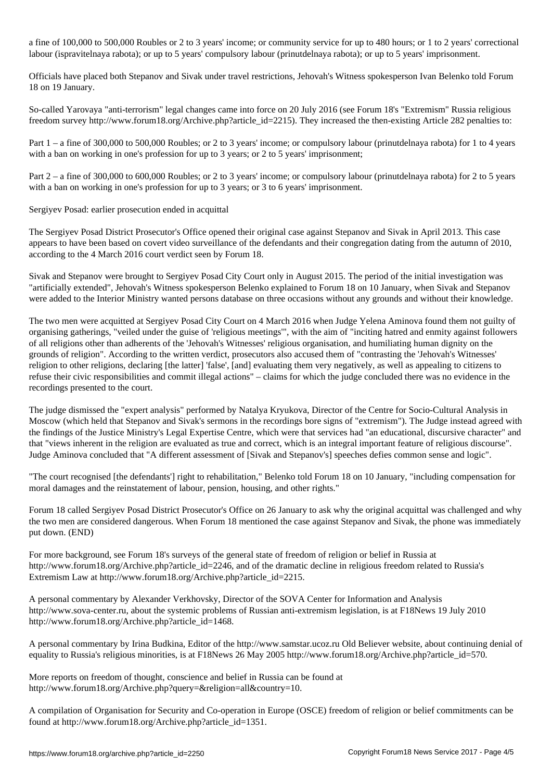a fine of 100,000 to 500,000 Roubles or 2 to 3 years' income; or community service for up to 480 hours; or 1 to 2 years' correctional labour (ispravitelnaya rabota); or up to 5 years' compulsory labour (prinutdelnaya rabota); or up to 5 years' imprisonment.

Officials have placed both Stepanov and Sivak under travel restrictions, Jehovah's Witness spokesperson Ivan Belenko told Forum 18 on 19 January.

So-called Yarovaya "anti-terrorism" legal changes came into force on 20 July 2016 (see Forum 18's "Extremism" Russia religious freedom survey http://www.forum18.org/Archive.php?article\_id=2215). They increased the then-existing Article 282 penalties to:

Part 1 – a fine of 300,000 to 500,000 Roubles; or 2 to 3 years' income; or compulsory labour (prinutdelnaya rabota) for 1 to 4 years with a ban on working in one's profession for up to 3 years; or 2 to 5 years' imprisonment;

Part 2 – a fine of 300,000 to 600,000 Roubles; or 2 to 3 years' income; or compulsory labour (prinutdelnaya rabota) for 2 to 5 years with a ban on working in one's profession for up to 3 years; or 3 to 6 years' imprisonment.

## Sergiyev Posad: earlier prosecution ended in acquittal

The Sergiyev Posad District Prosecutor's Office opened their original case against Stepanov and Sivak in April 2013. This case appears to have been based on covert video surveillance of the defendants and their congregation dating from the autumn of 2010, according to the 4 March 2016 court verdict seen by Forum 18.

Sivak and Stepanov were brought to Sergiyev Posad City Court only in August 2015. The period of the initial investigation was "artificially extended", Jehovah's Witness spokesperson Belenko explained to Forum 18 on 10 January, when Sivak and Stepanov were added to the Interior Ministry wanted persons database on three occasions without any grounds and without their knowledge.

The two men were acquitted at Sergiyev Posad City Court on 4 March 2016 when Judge Yelena Aminova found them not guilty of organising gatherings, "veiled under the guise of 'religious meetings'", with the aim of "inciting hatred and enmity against followers of all religions other than adherents of the 'Jehovah's Witnesses' religious organisation, and humiliating human dignity on the grounds of religion". According to the written verdict, prosecutors also accused them of "contrasting the 'Jehovah's Witnesses' religion to other religions, declaring [the latter] 'false', [and] evaluating them very negatively, as well as appealing to citizens to refuse their civic responsibilities and commit illegal actions" – claims for which the judge concluded there was no evidence in the recordings presented to the court.

The judge dismissed the "expert analysis" performed by Natalya Kryukova, Director of the Centre for Socio-Cultural Analysis in Moscow (which held that Stepanov and Sivak's sermons in the recordings bore signs of "extremism"). The Judge instead agreed with the findings of the Justice Ministry's Legal Expertise Centre, which were that services had "an educational, discursive character" and that "views inherent in the religion are evaluated as true and correct, which is an integral important feature of religious discourse". Judge Aminova concluded that "A different assessment of [Sivak and Stepanov's] speeches defies common sense and logic".

"The court recognised [the defendants'] right to rehabilitation," Belenko told Forum 18 on 10 January, "including compensation for moral damages and the reinstatement of labour, pension, housing, and other rights."

Forum 18 called Sergiyev Posad District Prosecutor's Office on 26 January to ask why the original acquittal was challenged and why the two men are considered dangerous. When Forum 18 mentioned the case against Stepanov and Sivak, the phone was immediately put down. (END)

For more background, see Forum 18's surveys of the general state of freedom of religion or belief in Russia at http://www.forum18.org/Archive.php?article\_id=2246, and of the dramatic decline in religious freedom related to Russia's Extremism Law at http://www.forum18.org/Archive.php?article\_id=2215.

A personal commentary by Alexander Verkhovsky, Director of the SOVA Center for Information and Analysis http://www.sova-center.ru, about the systemic problems of Russian anti-extremism legislation, is at F18News 19 July 2010 http://www.forum18.org/Archive.php?article\_id=1468.

A personal commentary by Irina Budkina, Editor of the http://www.samstar.ucoz.ru Old Believer website, about continuing denial of equality to Russia's religious minorities, is at F18News 26 May 2005 http://www.forum18.org/Archive.php?article\_id=570.

More reports on freedom of thought, conscience and belief in Russia can be found at http://www.forum18.org/Archive.php?query=&religion=all&country=10.

A compilation of Organisation for Security and Co-operation in Europe (OSCE) freedom of religion or belief commitments can be found at http://www.forum18.org/Archive.php?article\_id=1351.